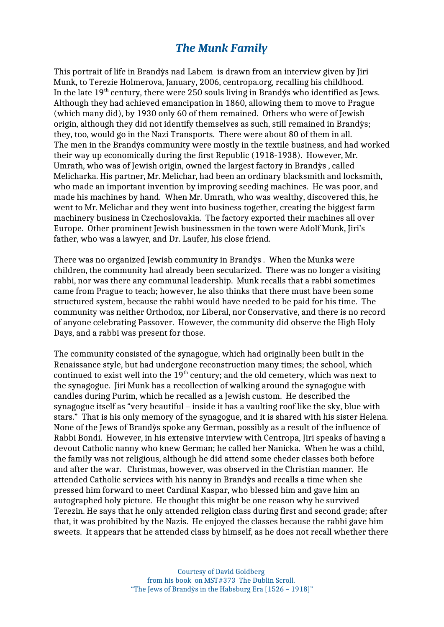## *The Munk Family*

This portrait of life in Brandỳs nad Labem is drawn from an interview given by Jiri Munk, to Terezie Holmerova, January, 2006, centropa.org, recalling his childhood. In the late  $19<sup>th</sup>$  century, there were 250 souls living in Brandýs who identified as Jews. Although they had achieved emancipation in 1860, allowing them to move to Prague (which many did), by 1930 only 60 of them remained. Others who were of Jewish origin, although they did not identify themselves as such, still remained in Brandỳs; they, too, would go in the Nazi Transports. There were about 80 of them in all. The men in the Brandỳs community were mostly in the textile business, and had worked their way up economically during the first Republic (1918-1938). However, Mr. Umrath, who was of Jewish origin, owned the largest factory in Brandỳs , called Melicharka. His partner, Mr. Melichar, had been an ordinary blacksmith and locksmith, who made an important invention by improving seeding machines. He was poor, and made his machines by hand. When Mr. Umrath, who was wealthy, discovered this, he went to Mr. Melichar and they went into business together, creating the biggest farm machinery business in Czechoslovakia. The factory exported their machines all over Europe. Other prominent Jewish businessmen in the town were Adolf Munk, Jiri's father, who was a lawyer, and Dr. Laufer, his close friend.

There was no organized Jewish community in Brandỳs . When the Munks were children, the community had already been secularized. There was no longer a visiting rabbi, nor was there any communal leadership. Munk recalls that a rabbi sometimes came from Prague to teach; however, he also thinks that there must have been some structured system, because the rabbi would have needed to be paid for his time. The community was neither Orthodox, nor Liberal, nor Conservative, and there is no record of anyone celebrating Passover. However, the community did observe the High Holy Days, and a rabbi was present for those.

The community consisted of the synagogue, which had originally been built in the Renaissance style, but had undergone reconstruction many times; the school, which continued to exist well into the  $19<sup>th</sup>$  century; and the old cemetery, which was next to the synagogue. Jiri Munk has a recollection of walking around the synagogue with candles during Purim, which he recalled as a Jewish custom. He described the synagogue itself as "very beautiful – inside it has a vaulting roof like the sky, blue with stars." That is his only memory of the synagogue, and it is shared with his sister Helena. None of the Jews of Brandỳs spoke any German, possibly as a result of the influence of Rabbi Bondi. However, in his extensive interview with Centropa, Jiri speaks of having a devout Catholic nanny who knew German; he called her Nanicka. When he was a child, the family was not religious, although he did attend some cheder classes both before and after the war. Christmas, however, was observed in the Christian manner. He attended Catholic services with his nanny in Brandỳs and recalls a time when she pressed him forward to meet Cardinal Kaspar, who blessed him and gave him an autographed holy picture. He thought this might be one reason why he survived Terezin. He says that he only attended religion class during first and second grade; after that, it was prohibited by the Nazis. He enjoyed the classes because the rabbi gave him sweets. It appears that he attended class by himself, as he does not recall whether there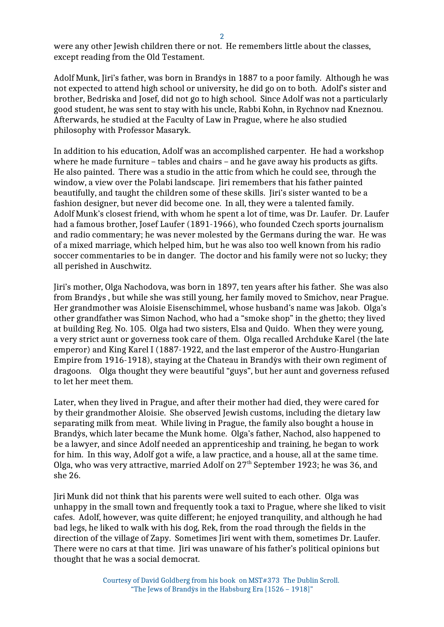were any other Jewish children there or not. He remembers little about the classes, except reading from the Old Testament.

Adolf Munk, Jiri's father, was born in Brandỳs in 1887 to a poor family. Although he was not expected to attend high school or university, he did go on to both. Adolf's sister and brother, Bedriska and Josef, did not go to high school. Since Adolf was not a particularly good student, he was sent to stay with his uncle, Rabbi Kohn, in Rychnov nad Kneznou. Afterwards, he studied at the Faculty of Law in Prague, where he also studied philosophy with Professor Masaryk.

In addition to his education, Adolf was an accomplished carpenter. He had a workshop where he made furniture – tables and chairs – and he gave away his products as gifts. He also painted. There was a studio in the attic from which he could see, through the window, a view over the Polabi landscape. Jiri remembers that his father painted beautifully, and taught the children some of these skills. Jiri's sister wanted to be a fashion designer, but never did become one. In all, they were a talented family. Adolf Munk's closest friend, with whom he spent a lot of time, was Dr. Laufer. Dr. Laufer had a famous brother, Josef Laufer (1891-1966), who founded Czech sports journalism and radio commentary; he was never molested by the Germans during the war. He was of a mixed marriage, which helped him, but he was also too well known from his radio soccer commentaries to be in danger. The doctor and his family were not so lucky; they all perished in Auschwitz.

Jiri's mother, Olga Nachodova, was born in 1897, ten years after his father. She was also from Brandỳs , but while she was still young, her family moved to Smichov, near Prague. Her grandmother was Aloisie Eisenschimmel, whose husband's name was Jakob. Olga's other grandfather was Simon Nachod, who had a "smoke shop" in the ghetto; they lived at building Reg. No. 105. Olga had two sisters, Elsa and Quido. When they were young, a very strict aunt or governess took care of them. Olga recalled Archduke Karel (the late emperor) and King Karel I (1887-1922, and the last emperor of the Austro-Hungarian Empire from 1916-1918), staying at the Chateau in Brandỳs with their own regiment of dragoons. Olga thought they were beautiful "guys", but her aunt and governess refused to let her meet them.

Later, when they lived in Prague, and after their mother had died, they were cared for by their grandmother Aloisie. She observed Jewish customs, including the dietary law separating milk from meat. While living in Prague, the family also bought a house in Brandỳs, which later became the Munk home. Olga's father, Nachod, also happened to be a lawyer, and since Adolf needed an apprenticeship and training, he began to work for him. In this way, Adolf got a wife, a law practice, and a house, all at the same time. Olga, who was very attractive, married Adolf on  $27<sup>th</sup>$  September 1923; he was 36, and she 26.

Jiri Munk did not think that his parents were well suited to each other. Olga was unhappy in the small town and frequently took a taxi to Prague, where she liked to visit cafes. Adolf, however, was quite different; he enjoyed tranquility, and although he had bad legs, he liked to walk with his dog, Rek, from the road through the fields in the direction of the village of Zapy. Sometimes Jiri went with them, sometimes Dr. Laufer. There were no cars at that time. Jiri was unaware of his father's political opinions but thought that he was a social democrat.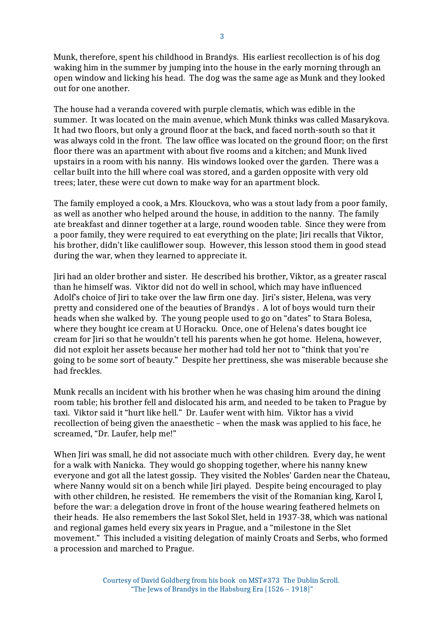Munk, therefore, spent his childhood in Brandỳs. His earliest recollection is of his dog waking him in the summer by jumping into the house in the early morning through an open window and licking his head. The dog was the same age as Munk and they looked out for one another.

The house had a veranda covered with purple clematis, which was edible in the summer. It was located on the main avenue, which Munk thinks was called Masarykova. It had two floors, but only a ground floor at the back, and faced north-south so that it was always cold in the front. The law office was located on the ground floor; on the first floor there was an apartment with about five rooms and a kitchen; and Munk lived upstairs in a room with his nanny. His windows looked over the garden. There was a cellar built into the hill where coal was stored, and a garden opposite with very old trees; later, these were cut down to make way for an apartment block.

The family employed a cook, a Mrs. Klouckova, who was a stout lady from a poor family, as well as another who helped around the house, in addition to the nanny. The family ate breakfast and dinner together at a large, round wooden table. Since they were from a poor family, they were required to eat everything on the plate; Jiri recalls that Viktor, his brother, didn't like cauliflower soup. However, this lesson stood them in good stead during the war, when they learned to appreciate it.

Jiri had an older brother and sister. He described his brother, Viktor, as a greater rascal than he himself was. Viktor did not do well in school, which may have influenced Adolf's choice of Jiri to take over the law firm one day. Jiri's sister, Helena, was very pretty and considered one of the beauties of Brandỳs . A lot of boys would turn their heads when she walked by. The young people used to go on "dates" to Stara Bolesa, where they bought ice cream at U Horacku. Once, one of Helena's dates bought ice cream for Jiri so that he wouldn't tell his parents when he got home. Helena, however, did not exploit her assets because her mother had told her not to "think that you're going to be some sort of beauty." Despite her prettiness, she was miserable because she had freckles.

Munk recalls an incident with his brother when he was chasing him around the dining room table; his brother fell and dislocated his arm, and needed to be taken to Prague by taxi. Viktor said it "hurt like hell." Dr. Laufer went with him. Viktor has a vivid recollection of being given the anaesthetic – when the mask was applied to his face, he screamed, "Dr. Laufer, help me!"

When Jiri was small, he did not associate much with other children. Every day, he went for a walk with Nanicka. They would go shopping together, where his nanny knew everyone and got all the latest gossip. They visited the Nobles' Garden near the Chateau, where Nanny would sit on a bench while Jiri played. Despite being encouraged to play with other children, he resisted. He remembers the visit of the Romanian king, Karol I, before the war: a delegation drove in front of the house wearing feathered helmets on their heads. He also remembers the last Sokol Slet, held in 1937-38, which was national and regional games held every six years in Prague, and a "milestone in the Slet movement." This included a visiting delegation of mainly Croats and Serbs, who formed a procession and marched to Prague.